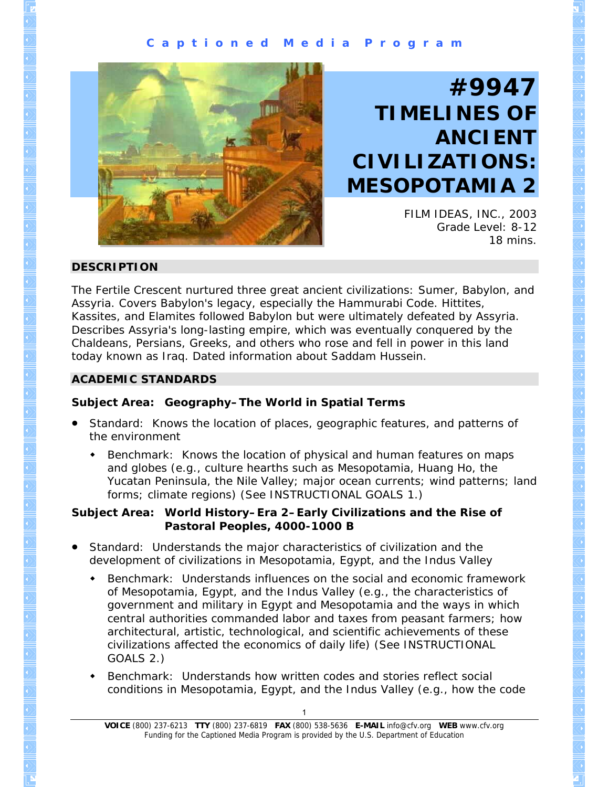#### **C a p t i o n e d M e d i a P r o g r a m**



# **#9947 TIMELINES OF ANCIENT CIVILIZATIONS: MESOPOTAMIA 2**

FILM IDEAS, INC., 2003 Grade Level: 8-12 18 mins.

#### **DESCRIPTION**

The Fertile Crescent nurtured three great ancient civilizations: Sumer, Babylon, and Assyria. Covers Babylon's legacy, especially the Hammurabi Code. Hittites, Kassites, and Elamites followed Babylon but were ultimately defeated by Assyria. Describes Assyria's long-lasting empire, which was eventually conquered by the Chaldeans, Persians, Greeks, and others who rose and fell in power in this land today known as Iraq. Dated information about Saddam Hussein.

#### **ACADEMIC STANDARDS**

#### **Subject Area: Geography–The World in Spatial Terms**

- Standard: Knows the location of places, geographic features, and patterns of the environment
	- Benchmark: Knows the location of physical and human features on maps and globes (e.g., culture hearths such as Mesopotamia, Huang Ho, the Yucatan Peninsula, the Nile Valley; major ocean currents; wind patterns; land forms; climate regions) (See INSTRUCTIONAL GOALS 1.)

#### **Subject Area: World History–Era 2–Early Civilizations and the Rise of Pastoral Peoples, 4000-1000 B**

- Standard: Understands the major characteristics of civilization and the development of civilizations in Mesopotamia, Egypt, and the Indus Valley
	- Benchmark: Understands influences on the social and economic framework of Mesopotamia, Egypt, and the Indus Valley (e.g., the characteristics of government and military in Egypt and Mesopotamia and the ways in which central authorities commanded labor and taxes from peasant farmers; how architectural, artistic, technological, and scientific achievements of these civilizations affected the economics of daily life) (See INSTRUCTIONAL GOALS 2.)
	- Benchmark: Understands how written codes and stories reflect social conditions in Mesopotamia, Egypt, and the Indus Valley (e.g., how the code

**VOICE** (800) 237-6213 **TTY** (800) 237-6819 **FAX** (800) 538-5636 **E-MAIL** info@cfv.org **WEB** www.cfv.org Funding for the Captioned Media Program is provided by the U.S. Department of Education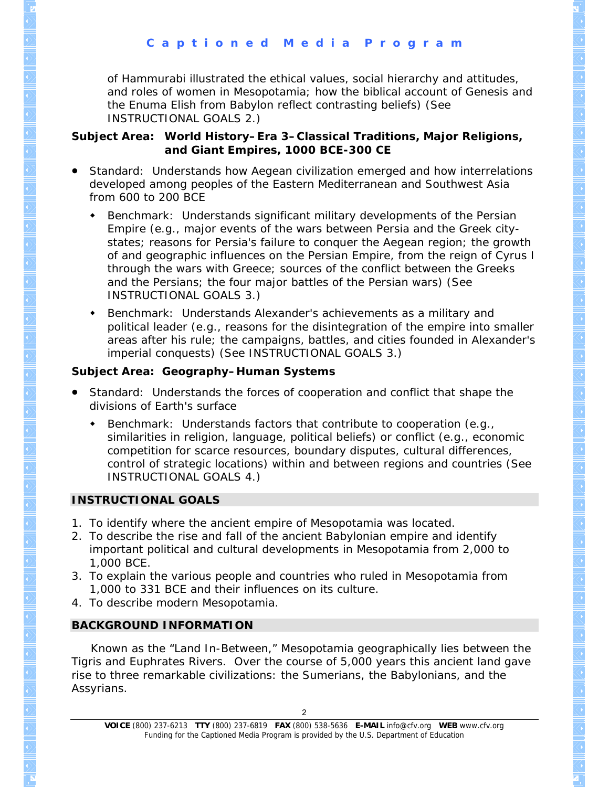and roles of women in Mesopotamia; how the biblical account of Genesis and the Enuma Elish from Babylon reflect contrasting beliefs) (See of Hammurabi illustrated the ethical values, social hierarchy and attitudes, INSTRUCTIONAL GOALS 2.)

#### **Subject Area: World History–Era 3–Classical Traditions, Major Religions, and Giant Empires, 1000 BCE-300 CE**

- Standard: Understands how Aegean civilization emerged and how interrelations developed among peoples of the Eastern Mediterranean and Southwest Asia from 600 to 200 BCE
	- Benchmark: Understands significant military developments of the Persian of and geographic influences on the Persian Empire, from the reign of Cyrus I through the wars with Greece; sources of the conflict between the Greeks and the Persians; the four major battles of the Persian wars) (See Empire (e.g., major events of the wars between Persia and the Greek citystates; reasons for Persia's failure to conquer the Aegean region; the growth INSTRUCTIONAL GOALS 3.)
	- Benchmark: Understands Alexander's achievements as a military and areas after his rule; the campaigns, battles, and cities founded in Alexander's imperial conquests) (See INSTRUCTIONAL GOALS 3.) political leader (e.g., reasons for the disintegration of the empire into smaller

## **Subject Area: Geography–Human Systems**

- Standard: Understands the forces of cooperation and conflict that shape the divisions of Earth's surface
	- Benchmark: Understands factors that contribute to cooperation (e.g., control of strategic locations) within and between regions and countries (See INSTRUCTIONAL GOALS 4.) similarities in religion, language, political beliefs) or conflict (e.g., economic competition for scarce resources, boundary disputes, cultural differences,

# **INSTRUCTIONAL GOALS**

- 1. To identify where the ancient empire of Mesopotamia was located.
- 2. To describe the rise and fall of the ancient Babylonian empire and identify important po litical and cultural developments in Mesopotamia from 2,000 to 1,000 BCE.
- 3. To explain the various people and countries who ruled in Mesopotamia from 1,000 to 331 BCE and their influences on its culture.
- 4. To describe modern Mesopotamia.

# **BACKGROUND INFORMATION**

 Known as the "Land In-Between," Mesopotamia geographically lies between the Tigris and Euphrates Rivers. Over the course of 5,000 years this ancient land ga ve rise to three rem arkable civilizations: the Sumerians, the Babylonians, and the Assyrians.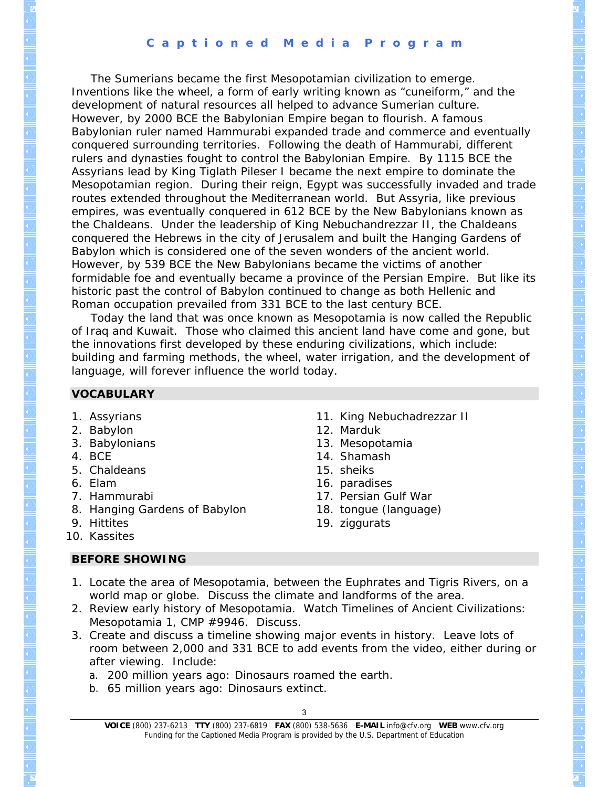#### **C a p t i o n e d M e d i a P r o g r a m**

Inventions like the wheel, a form of early writing known as "cuneiform," and the Babylonian ruler named Hammurabi expanded trade and commerce and eventually Mesopotamian region. During their reign, Egypt was successfully invaded and trade the Chaldeans. Under the leadership of King Nebuchandrezzar II, the Chaldeans conquered the Hebrews in the city of Jerusalem and built the Hanging Gardens of formidable foe and eventually became a province of the Persian Empire. But like its The Sumerians became the first Mesopotamian civilization to emerge. development of natural resources all helped to advance Sumerian culture. However, by 2000 BCE the Babylonian Empire began to flourish. A famous conquered surrounding territories. Following the death of Hammurabi, different rulers and dynasties fought to control the Babylonian Empire. By 1115 BCE the Assyrians lead by King Tiglath Pileser I became the next empire to dominate the routes extended throughout the Mediterranean world. But Assyria, like previous empires, was eventually conquered in 612 BCE by the New Babylonians known as Babylon which is considered one of the seven wonders of the ancient world. However, by 539 BCE the New Babylonians became the victims of another historic past the control of Babylon continued to change as both Hellenic and Roman occupation prevailed from 331 BCE to the last century BCE.

Today the land that was once known as Mesopotamia is now called the Republic the innovations first developed by these enduring civilizations, which include: building and farming methods, the wheel, water irrigation, and the development of language, will forever influence the world today. of Iraq and Kuwait. Those who claimed this ancient land have come and gone, but

#### **VOCABULARY**

- 1. Assyrians
- 2. Babylon
- 3. Babylonians
- 4. BCE
- 5. Chaldeans
- 6. Elam
- 7. Hammurabi
- 8. Hanging Gardens of Babylon
- . Hittites 9
- 1 0. Kassites

#### **BEFORE SHOWING**

- 11. King Nebuchadrezzar II
- 12. Marduk
- 13. Mesopotamia
- 14. Shamash
- 15. sheiks
- 16. paradises
- 17. Persian Gulf War
- 18. tongue (language)
- 19. ziggurats
- world map or globe. Discuss the climate and landforms of the area. 1. Locate the area of Mesopotamia, between the Euphrates and Tigris Rivers, on a
- *:* 2. Review early history of Mesopotamia. Watch *Timelines of Ancient Civilizations Mesopotamia 1*, CMP #9946. Discuss.
- 3. Create and discuss a timeline showing major events in history. Leave lots of room between 2,000 and 331 BCE to add events from the video, either during or after viewing. Include:
	- a. 200 million years ago: Dinosaurs roamed the earth.
	- b. 65 million years ago: Dinosaurs extinct.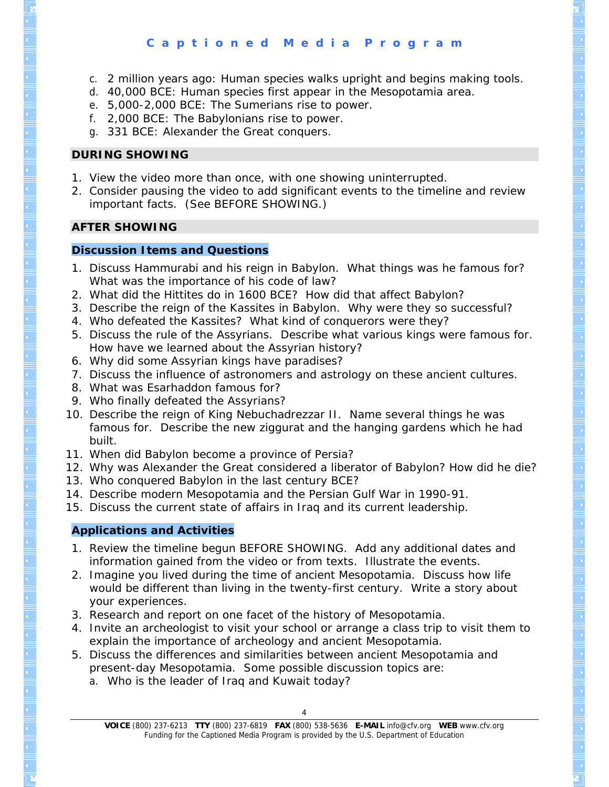- c. 2 million years ago: Human species walks upright and begins making tools.
- d. 40,000 BCE: Human species first appear in the Mesopotamia area.
- e. 5,000-2,000 BCE: The Sumerians rise to power.
- f. 2,000 BCE: The Babylonians rise to power.
- g. 331 BCE: Alexander the Great conquers.

#### **DURING SHOWING**

- 1. View the video more than once, with one showing uninterrupted.
- . Consider pausing the video to add significant events to the timeline and review 2 important facts. (See BEFORE SHOWING.)

#### **AFTER SHOWING**

#### **Discussion Items and Questions**

- 1. Discuss Hammurabi and his reign in Babylon. What things was he famous for? What was the importance of his code of law?
- ? 2. What did the Hittites do in 1600 BCE? How did that affect Babylon
- 3. Describe the reign of the Kassites in Babylon. Why were they so successful?
- 4. Who defeated the Kassites? What kind of conquerors were they?
- 5. Discuss the rule of the Assyrians. Describe what various kings were famous for. How have we learned about the Assyrian history?
- 6. Why did some Assyrian kings have paradises?
- 7. Discuss the influence of astronomers and astrology on these ancient cultures.
- 8. What was Esarhaddon famous for?
- 9. Who finally defeated the Assyrians?
- 10. Describe the reign of King Nebuchadrezzar II. Name several things he was famous for. Describe the new ziggurat and the hanging gardens which he had built.
- 11. When did Babylon become a province of Persia?
- 12. Why was Alexander the Great considered a liberator of Babylon? How did he die?
- 13. Who conquered Babylon in the last century BCE?
- 14. Describe modern Mesopotamia and the Persian Gulf War in 1990-91.
- 15. Discuss the current state of affairs in Iraq and its current leadership.

#### **Applications and Activities**

- 1. Review the timeline begun BEFORE SHOWING. Add any additional dates and information gained from the video or from texts. Illustrate the events.
- 2. Imagine you lived during the time of ancient Mesopotamia. Discuss how life would be different than living in the twenty-first century. Write a story about your experiences.
- 3. Research and report on one facet of the history of Mesopotamia.
- 4. Invite an archeologist to visit your school or arrange a class trip to visit them to explain the importance of archeology and ancient Mesopotamia.
- 5. Discuss the differences and similarities between ancient Mesopotamia and present-day Mesopotamia. Some possible discussion topics are:
	- a. Who is the leader of Iraq and Kuwait today?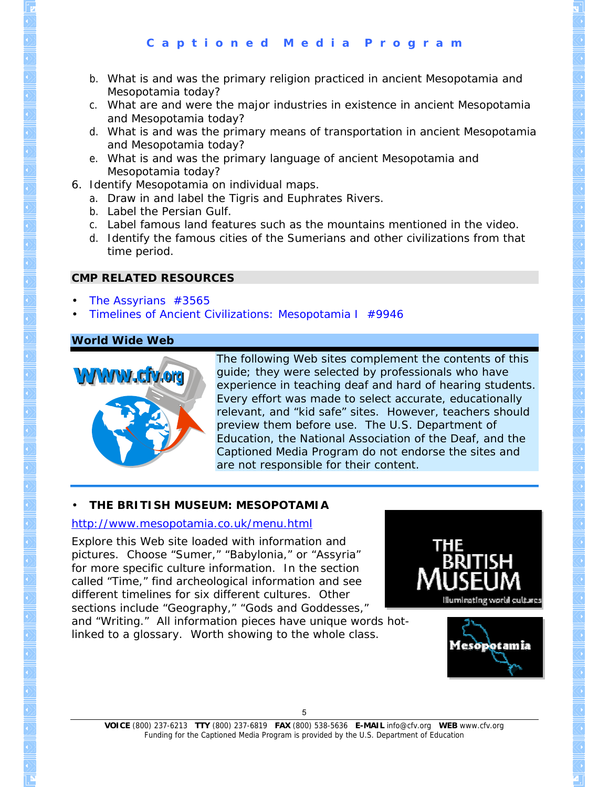- b. What is and was the primary religion practiced in ancient Mesopotamia and Mesopotamia today?
- c. What are and were the major industries in existence in ancient Mesopotamia and Mesopotamia today?
- d. What is and was the primary means of transportation in ancient Mesopotamia and Mesopotamia today?
- e. What is and was the primary language of ancient Mesopotamia and Mesopotamia today?
- 6. Identify Mesopotamia on individual maps.
	- a. Draw in and label the Tigris and Euphrates Rivers.
	- b. Label the Persian Gulf.
	- c. Label famous land features such as the mountains mentioned in the video.
	- d. Identify the famous cities of the Sumerians and other civilizations from that time period.

#### **CMP RELATED RESOURCES**

- *[The Assyrians](http://www.cfv.org/titledetail.asp?dn=3565)* #3565 •
- **Timelines of Anc[ient Civilizations: Mesopotamia I](http://www.cfv.org/titledetail.asp?dn=9946) #9946**

## **World Wide Web**



The following Web sites complement the contents of this guide; they were selected by professionals who have experience in teaching deaf and hard of hearing students. Every effort was made to select accurate, educationally relevant, and "kid safe" sites. However, teachers should preview them before use. The U.S. Department of Education, the National Association of the Deaf, and the Captioned Media Program do not endorse the sites and are not responsible for their content.

## • **THE BRITISH MUSEUM: MESOPOTAMIA**

#### <http://www.mesopotamia.co.uk/menu.html>

Explore this Web site loaded with information and pictures. Choose "Sumer," "Babylonia," or "Assyria" for more specific culture information. In the section called "Time," find archeological information and see different timelines for six different cultures. Other sections include "Geography," "Gods and Goddesses,"

and "Writing." All information pieces have unique words hotlinked to a glossary. Worth showing to the whole class.